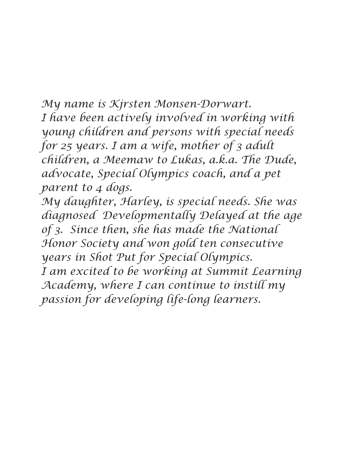*My name is Kjrsten Monsen-Dorwart. I have been actively involved in working with young children and persons with special needs for 25 years. I am a wife, mother of 3 adult children, a Meemaw to Lukas, a.k.a. The Dude, advocate, Special Olympics coach, and a pet parent to 4 dogs.*

*My daughter, Harley, is special needs. She was diagnosed Developmentally Delayed at the age of 3. Since then, she has made the National Honor Society and won gold ten consecutive years in Shot Put for Special Olympics. I am excited to be working at Summit Learning Academy, where I can continue to instill my passion for developing life-long learners.*